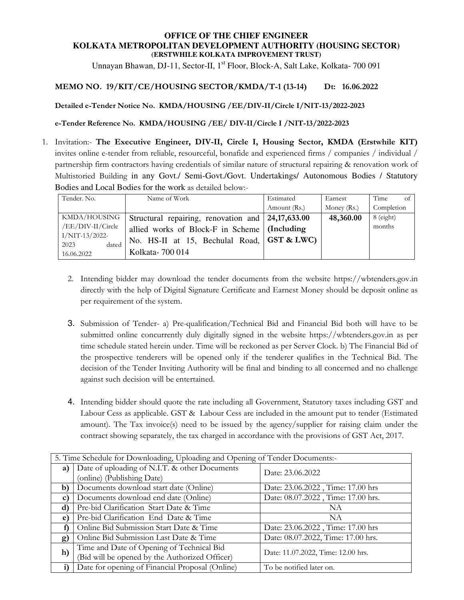#### **OFFICE OF THE CHIEF ENGINEER KOLKATA METROPOLITAN DEVELOPMENT AUTHORITY (HOUSING SECTOR) (ERSTWHILE KOLKATA IMPROVEMENT TRUST)**

Unnayan Bhawan, DJ-11, Sector-II, 1<sup>st</sup> Floor, Block-A, Salt Lake, Kolkata- 700 091

#### **MEMO NO. 19/KIT/CE/HOUSING SECTOR/KMDA/T-1 (13-14) Dt: 16.06.2022**

**Detailed e-Tender Notice No. KMDA/HOUSING /EE/DIV-II/Circle I/NIT-13/2022-2023** 

**e-Tender Reference No. KMDA/HOUSING /EE/ DIV-II/Circle I /NIT-13/2022-2023**

1. Invitation:- **The Executive Engineer, DIV-II, Circle I, Housing Sector, KMDA (Erstwhile KIT)** invites online e-tender from reliable, resourceful, bonafide and experienced firms / companies / individual / partnership firm contractors having credentials of similar nature of structural repairing & renovation work of Multistoried Building in any Govt./ Semi-Govt./Govt. Undertakings/ Autonomous Bodies / Statutory Bodies and Local Bodies for the work as detailed below:-

| Tender. No.                       | Name of Work                                                    | Estimated    | Earnest     | Time<br>of |
|-----------------------------------|-----------------------------------------------------------------|--------------|-------------|------------|
|                                   |                                                                 | Amount (Rs.) | Money (Rs.) | Completion |
| KMDA/HOUSING                      | Structural repairing, renovation and $\vert 24,17,633.00 \vert$ |              | 48,360.00   | 8 (eight)  |
| /EE/DIV-II/Circle                 | allied works of Block-F in Scheme   (Including                  |              |             | months     |
| $I/NIT-13/2022-$<br>2023<br>dated | No. HS-II at 15, Bechulal Road, GST & LWC)                      |              |             |            |
| 16.06.2022                        | Kolkata-700 014                                                 |              |             |            |

- 2. Intending bidder may download the tender documents from the website https://wbtenders.gov.in directly with the help of Digital Signature Certificate and Earnest Money should be deposit online as per requirement of the system.
- 3. Submission of Tender- a) Pre-qualification/Technical Bid and Financial Bid both will have to be submitted online concurrently duly digitally signed in the website https://wbtenders.gov.in as per time schedule stated herein under. Time will be reckoned as per Server Clock. b) The Financial Bid of the prospective tenderers will be opened only if the tenderer qualifies in the Technical Bid. The decision of the Tender Inviting Authority will be final and binding to all concerned and no challenge against such decision will be entertained.
- 4. Intending bidder should quote the rate including all Government, Statutory taxes including GST and Labour Cess as applicable. GST & Labour Cess are included in the amount put to tender (Estimated amount). The Tax invoice(s) need to be issued by the agency/supplier for raising claim under the contract showing separately, the tax charged in accordance with the provisions of GST Act, 2017.

| 5. Time Schedule for Downloading, Uploading and Opening of Tender Documents:- |                                                 |                                    |  |
|-------------------------------------------------------------------------------|-------------------------------------------------|------------------------------------|--|
| a)                                                                            | Date of uploading of N.I.T. & other Documents   | Date: 23.06.2022                   |  |
|                                                                               | (online) (Publishing Date)                      |                                    |  |
| b)                                                                            | Documents download start date (Online)          | Date: 23.06.2022, Time: 17.00 hrs  |  |
| $\mathbf{C}$                                                                  | Documents download end date (Online)            | Date: 08.07.2022, Time: 17.00 hrs. |  |
| $\mathbf{d}$                                                                  | Pre-bid Clarification Start Date & Time         | NА                                 |  |
| e)                                                                            | Pre-bid Clarification End Date & Time           | NA                                 |  |
|                                                                               | Online Bid Submission Start Date & Time         | Date: 23.06.2022, Time: 17.00 hrs  |  |
| g)                                                                            | Online Bid Submission Last Date & Time          | Date: 08.07.2022, Time: 17.00 hrs. |  |
| h)                                                                            | Time and Date of Opening of Technical Bid       | Date: 11.07.2022, Time: 12.00 hrs. |  |
|                                                                               | (Bid will be opened by the Authorized Officer)  |                                    |  |
| i)                                                                            | Date for opening of Financial Proposal (Online) | To be notified later on.           |  |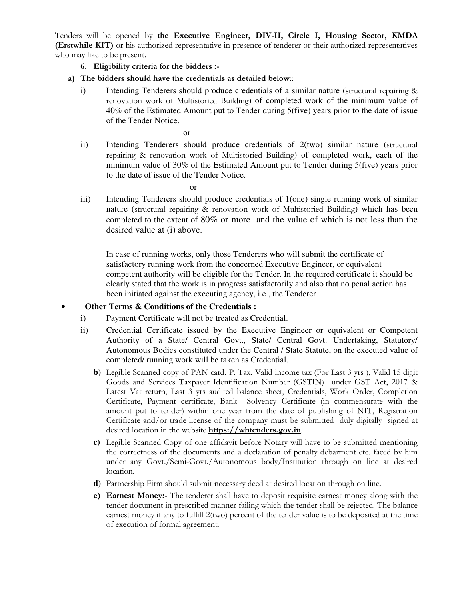Tenders will be opened by **the Executive Engineer, DIV-II, Circle I, Housing Sector, KMDA (Erstwhile KIT)** or his authorized representative in presence of tenderer or their authorized representatives who may like to be present.

- **6. Eligibility criteria for the bidders :-**
- **a) The bidders should have the credentials as detailed below**::
	- i) Intending Tenderers should produce credentials of a similar nature (structural repairing & renovation work of Multistoried Building) of completed work of the minimum value of 40% of the Estimated Amount put to Tender during 5(five) years prior to the date of issue of the Tender Notice.

or

ii) Intending Tenderers should produce credentials of 2(two) similar nature (structural repairing & renovation work of Multistoried Building) of completed work, each of the minimum value of 30% of the Estimated Amount put to Tender during 5(five) years prior to the date of issue of the Tender Notice.

or

iii) Intending Tenderers should produce credentials of 1(one) single running work of similar nature (structural repairing & renovation work of Multistoried Building) which has been completed to the extent of 80% or more and the value of which is not less than the desired value at (i) above.

In case of running works, only those Tenderers who will submit the certificate of satisfactory running work from the concerned Executive Engineer, or equivalent competent authority will be eligible for the Tender. In the required certificate it should be clearly stated that the work is in progress satisfactorily and also that no penal action has been initiated against the executing agency, i.e., the Tenderer.

## • **Other Terms & Conditions of the Credentials :**

- i) Payment Certificate will not be treated as Credential.
- ii) Credential Certificate issued by the Executive Engineer or equivalent or Competent Authority of a State/ Central Govt., State/ Central Govt. Undertaking, Statutory/ Autonomous Bodies constituted under the Central / State Statute, on the executed value of completed/ running work will be taken as Credential.
	- **b)** Legible Scanned copy of PAN card, P. Tax, Valid income tax (For Last 3 yrs ), Valid 15 digit Goods and Services Taxpayer Identification Number (GSTIN) under GST Act, 2017 & Latest Vat return, Last 3 yrs audited balance sheet, Credentials, Work Order, Completion Certificate, Payment certificate, Bank Solvency Certificate (in commensurate with the amount put to tender) within one year from the date of publishing of NIT, Registration Certificate and/or trade license of the company must be submitted duly digitally signed at desired location in the website **https://wbtenders.gov.in**.
	- **c)** Legible Scanned Copy of one affidavit before Notary will have to be submitted mentioning the correctness of the documents and a declaration of penalty debarment etc. faced by him under any Govt./Semi-Govt./Autonomous body/Institution through on line at desired location.
	- **d)** Partnership Firm should submit necessary deed at desired location through on line.
	- **e) Earnest Money:-** The tenderer shall have to deposit requisite earnest money along with the tender document in prescribed manner failing which the tender shall be rejected. The balance earnest money if any to fulfill 2(two) percent of the tender value is to be deposited at the time of execution of formal agreement.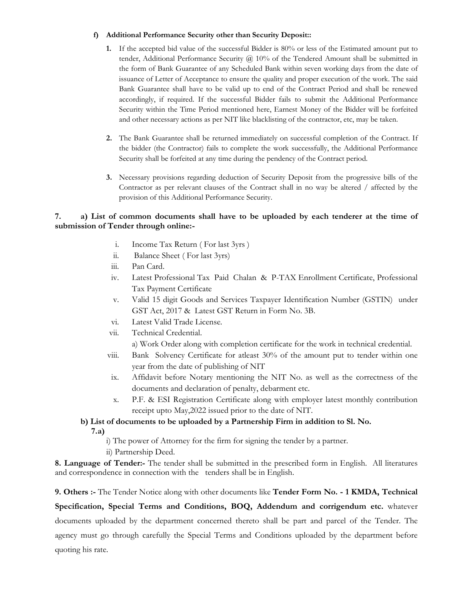#### **f) Additional Performance Security other than Security Deposit::**

- **1.** If the accepted bid value of the successful Bidder is 80% or less of the Estimated amount put to tender, Additional Performance Security @ 10% of the Tendered Amount shall be submitted in the form of Bank Guarantee of any Scheduled Bank within seven working days from the date of issuance of Letter of Acceptance to ensure the quality and proper execution of the work. The said Bank Guarantee shall have to be valid up to end of the Contract Period and shall be renewed accordingly, if required. If the successful Bidder fails to submit the Additional Performance Security within the Time Period mentioned here, Earnest Money of the Bidder will be forfeited and other necessary actions as per NIT like blacklisting of the contractor, etc, may be taken.
- **2.** The Bank Guarantee shall be returned immediately on successful completion of the Contract. If the bidder (the Contractor) fails to complete the work successfully, the Additional Performance Security shall be forfeited at any time during the pendency of the Contract period.
- **3.** Necessary provisions regarding deduction of Security Deposit from the progressive bills of the Contractor as per relevant clauses of the Contract shall in no way be altered / affected by the provision of this Additional Performance Security.

### **7. a) List of common documents shall have to be uploaded by each tenderer at the time of submission of Tender through online:-**

- i. Income Tax Return ( For last 3yrs )
- ii. Balance Sheet ( For last 3yrs)
- iii. Pan Card.
- iv. Latest Professional Tax Paid Chalan & P-TAX Enrollment Certificate, Professional Tax Payment Certificate
- v. Valid 15 digit Goods and Services Taxpayer Identification Number (GSTIN) under GST Act, 2017 & Latest GST Return in Form No. 3B.
- vi. Latest Valid Trade License.
- vii. Technical Credential.
	- a) Work Order along with completion certificate for the work in technical credential.
- viii. Bank Solvency Certificate for atleast 30% of the amount put to tender within one year from the date of publishing of NIT
- ix. Affidavit before Notary mentioning the NIT No. as well as the correctness of the documents and declaration of penalty, debarment etc.
- x. P.F. & ESI Registration Certificate along with employer latest monthly contribution receipt upto May,2022 issued prior to the date of NIT.

# **b) List of documents to be uploaded by a Partnership Firm in addition to Sl. No.**

 **7.a)** 

i) The power of Attorney for the firm for signing the tender by a partner.

ii) Partnership Deed.

**8. Language of Tender:-** The tender shall be submitted in the prescribed form in English. All literatures and correspondence in connection with the tenders shall be in English.

**9. Others :-** The Tender Notice along with other documents like **Tender Form No. - 1 KMDA, Technical** 

**Specification, Special Terms and Conditions, BOQ, Addendum and corrigendum etc.** whatever documents uploaded by the department concerned thereto shall be part and parcel of the Tender. The agency must go through carefully the Special Terms and Conditions uploaded by the department before quoting his rate.